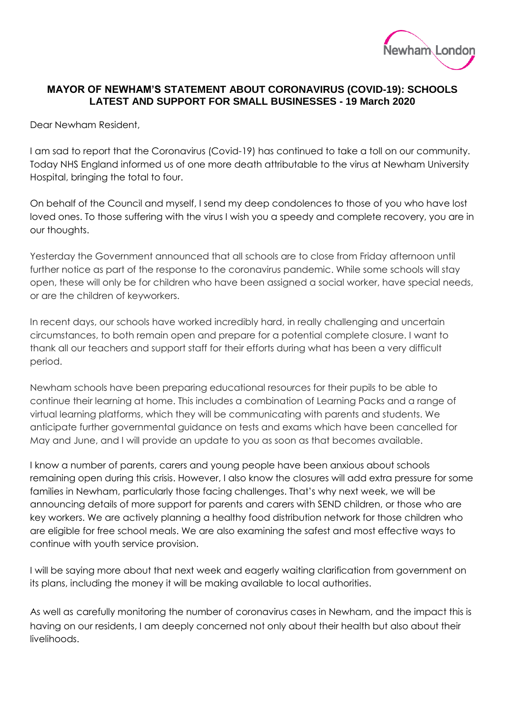

## **MAYOR OF NEWHAM'S STATEMENT ABOUT CORONAVIRUS (COVID-19): SCHOOLS LATEST AND SUPPORT FOR SMALL BUSINESSES - 19 March 2020**

Dear Newham Resident,

I am sad to report that the Coronavirus (Covid-19) has continued to take a toll on our community. Today NHS England informed us of one more death attributable to the virus at Newham University Hospital, bringing the total to four.

On behalf of the Council and myself, I send my deep condolences to those of you who have lost loved ones. To those suffering with the virus I wish you a speedy and complete recovery, you are in our thoughts.

Yesterday the Government announced that all schools are to close from Friday afternoon until further notice as part of the response to the coronavirus pandemic. While some schools will stay open, these will only be for children who have been assigned a social worker, have special needs, or are the children of keyworkers.

In recent days, our schools have worked incredibly hard, in really challenging and uncertain circumstances, to both remain open and prepare for a potential complete closure. I want to thank all our teachers and support staff for their efforts during what has been a very difficult period.

Newham schools have been preparing educational resources for their pupils to be able to continue their learning at home. This includes a combination of Learning Packs and a range of virtual learning platforms, which they will be communicating with parents and students. We anticipate further governmental guidance on tests and exams which have been cancelled for May and June, and I will provide an update to you as soon as that becomes available.

I know a number of parents, carers and young people have been anxious about schools remaining open during this crisis. However, I also know the closures will add extra pressure for some families in Newham, particularly those facing challenges. That's why next week, we will be announcing details of more support for parents and carers with SEND children, or those who are key workers. We are actively planning a healthy food distribution network for those children who are eligible for free school meals. We are also examining the safest and most effective ways to continue with youth service provision.

I will be saying more about that next week and eagerly waiting clarification from government on its plans, including the money it will be making available to local authorities.

As well as carefully monitoring the number of coronavirus cases in Newham, and the impact this is having on our residents, I am deeply concerned not only about their health but also about their livelihoods.